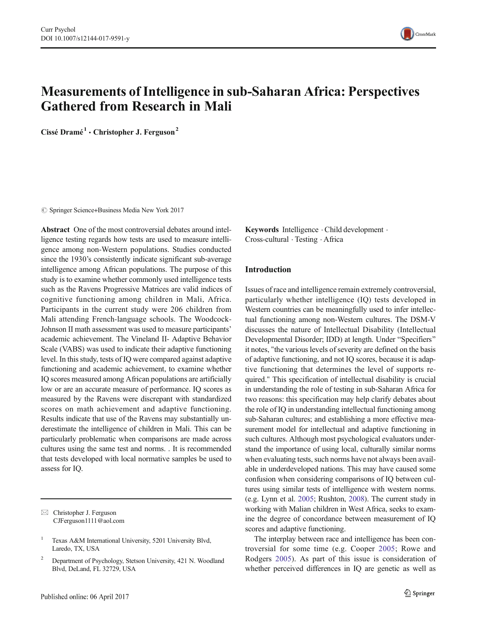

# Measurements of Intelligence in sub-Saharan Africa: Perspectives Gathered from Research in Mali

Cissé Dramé<sup>1</sup> · Christopher J. Ferguson<sup>2</sup>

 $\circled{c}$  Springer Science+Business Media New York 2017

Abstract One of the most controversial debates around intelligence testing regards how tests are used to measure intelligence among non-Western populations. Studies conducted since the 1930's consistently indicate significant sub-average intelligence among African populations. The purpose of this study is to examine whether commonly used intelligence tests such as the Ravens Progressive Matrices are valid indices of cognitive functioning among children in Mali, Africa. Participants in the current study were 206 children from Mali attending French-language schools. The Woodcock-Johnson II math assessment was used to measure participants' academic achievement. The Vineland II- Adaptive Behavior Scale (VABS) was used to indicate their adaptive functioning level. In this study, tests of IQ were compared against adaptive functioning and academic achievement, to examine whether IQ scores measured among African populations are artificially low or are an accurate measure of performance. IQ scores as measured by the Ravens were discrepant with standardized scores on math achievement and adaptive functioning. Results indicate that use of the Ravens may substantially underestimate the intelligence of children in Mali. This can be particularly problematic when comparisons are made across cultures using the same test and norms. . It is recommended that tests developed with local normative samples be used to assess for IQ.

Keywords Intelligence . Child development . Cross-cultural . Testing . Africa

## Introduction

Issues of race and intelligence remain extremely controversial, particularly whether intelligence (IQ) tests developed in Western countries can be meaningfully used to infer intellectual functioning among non-Western cultures. The DSM-V discusses the nature of Intellectual Disability (Intellectual Developmental Disorder; IDD) at length. Under "Specifiers" it notes, "the various levels of severity are defined on the basis of adaptive functioning, and not IQ scores, because it is adaptive functioning that determines the level of supports required." This specification of intellectual disability is crucial in understanding the role of testing in sub-Saharan Africa for two reasons: this specification may help clarify debates about the role of IQ in understanding intellectual functioning among sub-Saharan cultures; and establishing a more effective measurement model for intellectual and adaptive functioning in such cultures. Although most psychological evaluators understand the importance of using local, culturally similar norms when evaluating tests, such norms have not always been available in underdeveloped nations. This may have caused some confusion when considering comparisons of IQ between cultures using similar tests of intelligence with western norms. (e.g. Lynn et al. [2005;](#page-4-0) Rushton, [2008](#page-4-0)). The current study in working with Malian children in West Africa, seeks to examine the degree of concordance between measurement of IQ scores and adaptive functioning.

The interplay between race and intelligence has been controversial for some time (e.g. Cooper [2005;](#page-4-0) Rowe and Rodgers [2005](#page-4-0)). As part of this issue is consideration of whether perceived differences in IQ are genetic as well as

 $\boxtimes$  Christopher J. Ferguson CJFerguson1111@aol.com

Texas A&M International University, 5201 University Blvd, Laredo, TX, USA

<sup>&</sup>lt;sup>2</sup> Department of Psychology, Stetson University, 421 N. Woodland Blvd, DeLand, FL 32729, USA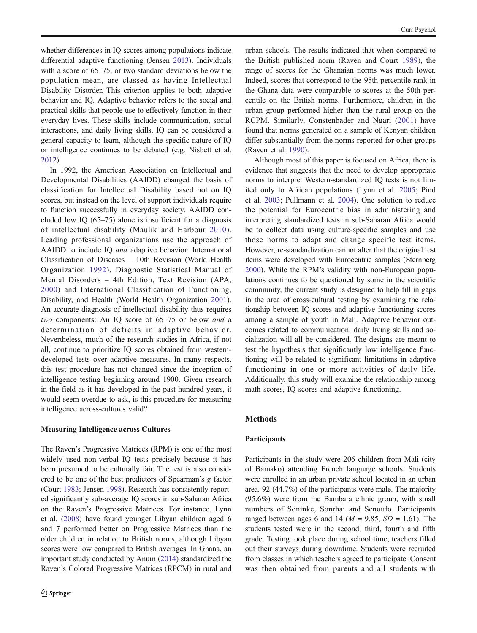whether differences in IO scores among populations indicate differential adaptive functioning (Jensen [2013\)](#page-4-0). Individuals with a score of 65–75, or two standard deviations below the population mean, are classed as having Intellectual Disability Disorder. This criterion applies to both adaptive behavior and IQ. Adaptive behavior refers to the social and practical skills that people use to effectively function in their everyday lives. These skills include communication, social interactions, and daily living skills. IQ can be considered a general capacity to learn, although the specific nature of IQ or intelligence continues to be debated (e.g. Nisbett et al. [2012\)](#page-4-0).

In 1992, the American Association on Intellectual and Developmental Disabilities (AAIDD) changed the basis of classification for Intellectual Disability based not on IQ scores, but instead on the level of support individuals require to function successfully in everyday society. AAIDD concluded low IQ (65–75) alone is insufficient for a diagnosis of intellectual disability (Maulik and Harbour [2010](#page-4-0)). Leading professional organizations use the approach of AAIDD to include IQ and adaptive behavior: International Classification of Diseases – 10th Revision (World Health Organization [1992](#page-5-0)), Diagnostic Statistical Manual of Mental Disorders – 4th Edition, Text Revision (APA, [2000](#page-4-0)) and International Classification of Functioning, Disability, and Health (World Health Organization [2001](#page-5-0)). An accurate diagnosis of intellectual disability thus requires two components: An IQ score of 65–75 or below and a determination of deficits in adaptive behavior. Nevertheless, much of the research studies in Africa, if not all, continue to prioritize IQ scores obtained from westerndeveloped tests over adaptive measures. In many respects, this test procedure has not changed since the inception of intelligence testing beginning around 1900. Given research in the field as it has developed in the past hundred years, it would seem overdue to ask, is this procedure for measuring intelligence across-cultures valid?

#### Measuring Intelligence across Cultures

The Raven's Progressive Matrices (RPM) is one of the most widely used non-verbal IQ tests precisely because it has been presumed to be culturally fair. The test is also considered to be one of the best predictors of Spearman's g factor (Court [1983;](#page-4-0) Jensen [1998](#page-4-0)). Research has consistently reported significantly sub-average IQ scores in sub-Saharan Africa on the Raven's Progressive Matrices. For instance, Lynn et al. [\(2008\)](#page-4-0) have found younger Libyan children aged 6 and 7 performed better on Progressive Matrices than the older children in relation to British norms, although Libyan scores were low compared to British averages. In Ghana, an important study conducted by Anum [\(2014\)](#page-4-0) standardized the Raven's Colored Progressive Matrices (RPCM) in rural and

urban schools. The results indicated that when compared to the British published norm (Raven and Court [1989\)](#page-4-0), the range of scores for the Ghanaian norms was much lower. Indeed, scores that correspond to the 95th percentile rank in the Ghana data were comparable to scores at the 50th percentile on the British norms. Furthermore, children in the urban group performed higher than the rural group on the RCPM. Similarly, Constenbader and Ngari ([2001](#page-4-0)) have found that norms generated on a sample of Kenyan children differ substantially from the norms reported for other groups (Raven et al. [1990](#page-4-0)).

Although most of this paper is focused on Africa, there is evidence that suggests that the need to develop appropriate norms to interpret Western-standardized IQ tests is not limited only to African populations (Lynn et al. [2005;](#page-4-0) Pind et al. [2003](#page-4-0); Pullmann et al. [2004\)](#page-4-0). One solution to reduce the potential for Eurocentric bias in administering and interpreting standardized tests in sub-Saharan Africa would be to collect data using culture-specific samples and use those norms to adapt and change specific test items. However, re-standardization cannot alter that the original test items were developed with Eurocentric samples (Sternberg [2000\)](#page-5-0). While the RPM's validity with non-European populations continues to be questioned by some in the scientific community, the current study is designed to help fill in gaps in the area of cross-cultural testing by examining the relationship between IQ scores and adaptive functioning scores among a sample of youth in Mali. Adaptive behavior outcomes related to communication, daily living skills and socialization will all be considered. The designs are meant to test the hypothesis that significantly low intelligence functioning will be related to significant limitations in adaptive functioning in one or more activities of daily life. Additionally, this study will examine the relationship among math scores, IQ scores and adaptive functioning.

## Methods

## Participants

Participants in the study were 206 children from Mali (city of Bamako) attending French language schools. Students were enrolled in an urban private school located in an urban area. 92 (44.7%) of the participants were male. The majority (95.6%) were from the Bambara ethnic group, with small numbers of Soninke, Sonrhai and Senoufo. Participants ranged between ages 6 and 14 ( $M = 9.85$ ,  $SD = 1.61$ ). The students tested were in the second, third, fourth and fifth grade. Testing took place during school time; teachers filled out their surveys during downtime. Students were recruited from classes in which teachers agreed to participate. Consent was then obtained from parents and all students with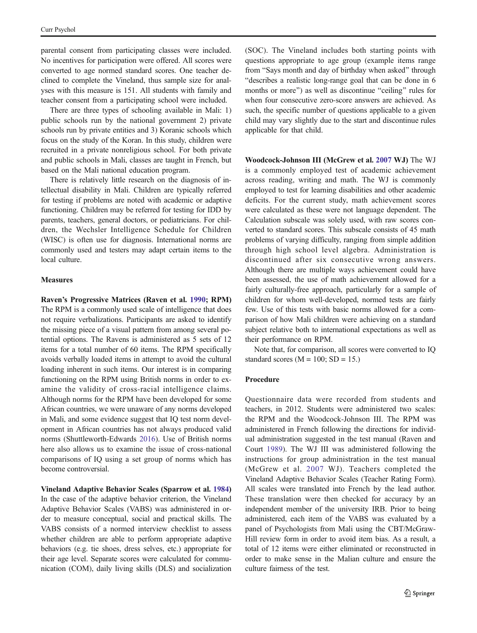parental consent from participating classes were included. No incentives for participation were offered. All scores were converted to age normed standard scores. One teacher declined to complete the Vineland, thus sample size for analyses with this measure is 151. All students with family and teacher consent from a participating school were included.

There are three types of schooling available in Mali: 1) public schools run by the national government 2) private schools run by private entities and 3) Koranic schools which focus on the study of the Koran. In this study, children were recruited in a private nonreligious school. For both private and public schools in Mali, classes are taught in French, but based on the Mali national education program.

There is relatively little research on the diagnosis of intellectual disability in Mali. Children are typically referred for testing if problems are noted with academic or adaptive functioning. Children may be referred for testing for IDD by parents, teachers, general doctors, or pediatricians. For children, the Wechsler Intelligence Schedule for Children (WISC) is often use for diagnosis. International norms are commonly used and testers may adapt certain items to the local culture.

## **Measures**

Raven's Progressive Matrices (Raven et al. [1990;](#page-4-0) RPM) The RPM is a commonly used scale of intelligence that does not require verbalizations. Participants are asked to identify the missing piece of a visual pattern from among several potential options. The Ravens is administered as 5 sets of 12 items for a total number of 60 items. The RPM specifically avoids verbally loaded items in attempt to avoid the cultural loading inherent in such items. Our interest is in comparing functioning on the RPM using British norms in order to examine the validity of cross-racial intelligence claims. Although norms for the RPM have been developed for some African countries, we were unaware of any norms developed in Mali, and some evidence suggest that IQ test norm development in African countries has not always produced valid norms (Shuttleworth-Edwards [2016](#page-4-0)). Use of British norms here also allows us to examine the issue of cross-national comparisons of IQ using a set group of norms which has become controversial.

Vineland Adaptive Behavior Scales (Sparrow et al. [1984\)](#page-5-0) In the case of the adaptive behavior criterion, the Vineland Adaptive Behavior Scales (VABS) was administered in order to measure conceptual, social and practical skills. The VABS consists of a normed interview checklist to assess whether children are able to perform appropriate adaptive behaviors (e.g. tie shoes, dress selves, etc.) appropriate for their age level. Separate scores were calculated for communication (COM), daily living skills (DLS) and socialization

(SOC). The Vineland includes both starting points with questions appropriate to age group (example items range from "Says month and day of birthday when asked" through "describes a realistic long-range goal that can be done in 6 months or more") as well as discontinue "ceiling" rules for when four consecutive zero-score answers are achieved. As such, the specific number of questions applicable to a given child may vary slightly due to the start and discontinue rules applicable for that child.

Woodcock-Johnson III (McGrew et al. [2007](#page-4-0) WJ) The WJ is a commonly employed test of academic achievement across reading, writing and math. The WJ is commonly employed to test for learning disabilities and other academic deficits. For the current study, math achievement scores were calculated as these were not language dependent. The Calculation subscale was solely used, with raw scores converted to standard scores. This subscale consists of 45 math problems of varying difficulty, ranging from simple addition through high school level algebra. Administration is discontinued after six consecutive wrong answers. Although there are multiple ways achievement could have been assessed, the use of math achievement allowed for a fairly culturally-free approach, particularly for a sample of children for whom well-developed, normed tests are fairly few. Use of this tests with basic norms allowed for a comparison of how Mali children were achieving on a standard subject relative both to international expectations as well as their performance on RPM.

Note that, for comparison, all scores were converted to IQ standard scores  $(M = 100; SD = 15.)$ 

#### Procedure

Questionnaire data were recorded from students and teachers, in 2012. Students were administered two scales: the RPM and the Woodcock-Johnson III. The RPM was administered in French following the directions for individual administration suggested in the test manual (Raven and Court [1989\)](#page-4-0). The WJ III was administered following the instructions for group administration in the test manual (McGrew et al. [2007](#page-4-0) WJ). Teachers completed the Vineland Adaptive Behavior Scales (Teacher Rating Form). All scales were translated into French by the lead author. These translation were then checked for accuracy by an independent member of the university IRB. Prior to being administered, each item of the VABS was evaluated by a panel of Psychologists from Mali using the CBT/McGraw-Hill review form in order to avoid item bias. As a result, a total of 12 items were either eliminated or reconstructed in order to make sense in the Malian culture and ensure the culture fairness of the test.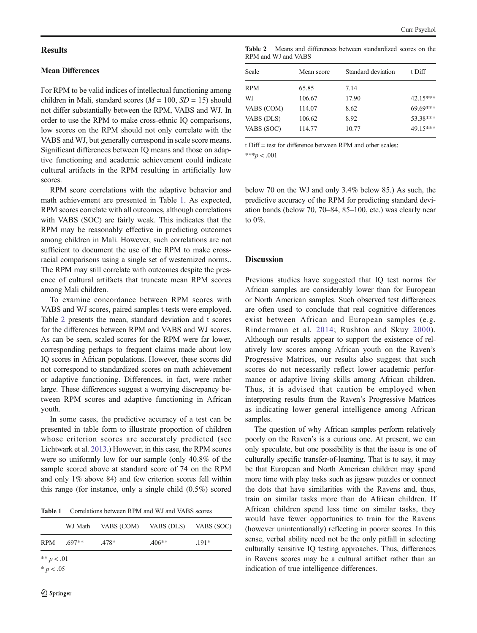### Results

# Mean Differences

For RPM to be valid indices of intellectual functioning among children in Mali, standard scores ( $M = 100$ ,  $SD = 15$ ) should not differ substantially between the RPM, VABS and WJ. In order to use the RPM to make cross-ethnic IQ comparisons, low scores on the RPM should not only correlate with the VABS and WJ, but generally correspond in scale score means. Significant differences between IQ means and those on adaptive functioning and academic achievement could indicate cultural artifacts in the RPM resulting in artificially low scores.

RPM score correlations with the adaptive behavior and math achievement are presented in Table 1. As expected, RPM scores correlate with all outcomes, although correlations with VABS (SOC) are fairly weak. This indicates that the RPM may be reasonably effective in predicting outcomes among children in Mali. However, such correlations are not sufficient to document the use of the RPM to make crossracial comparisons using a single set of westernized norms.. The RPM may still correlate with outcomes despite the presence of cultural artifacts that truncate mean RPM scores among Mali children.

To examine concordance between RPM scores with VABS and WJ scores, paired samples t-tests were employed. Table 2 presents the mean, standard deviation and t scores for the differences between RPM and VABS and WJ scores. As can be seen, scaled scores for the RPM were far lower, corresponding perhaps to frequent claims made about low IQ scores in African populations. However, these scores did not correspond to standardized scores on math achievement or adaptive functioning. Differences, in fact, were rather large. These differences suggest a worrying discrepancy between RPM scores and adaptive functioning in African youth.

In some cases, the predictive accuracy of a test can be presented in table form to illustrate proportion of children whose criterion scores are accurately predicted (see Lichtwark et al. [2013](#page-4-0).) However, in this case, the RPM scores were so uniformly low for our sample (only 40.8% of the sample scored above at standard score of 74 on the RPM and only 1% above 84) and few criterion scores fell within this range (for instance, only a single child (0.5%) scored

Table 1 Correlations between RPM and WJ and VABS scores

|                             |        | WJ Math VABS (COM) VABS (DLS) VABS (SOC) |          |         |
|-----------------------------|--------|------------------------------------------|----------|---------|
| <b>RPM</b>                  | .697** | .478*                                    | $.406**$ | $.191*$ |
| ** $p < .01$<br>$* p < .05$ |        |                                          |          |         |

Table 2 Means and differences between standardized scores on the RPM and WJ and VABS

| Scale      | Mean score | Standard deviation | t Diff     |
|------------|------------|--------------------|------------|
| RPM        | 65.85      | 7.14               |            |
| W.J        | 106.67     | 17.90              | $42.15***$ |
| VABS (COM) | 114.07     | 8.62               | 69.69***   |
| VABS (DLS) | 106.62     | 8.92               | 53.38***   |
| VABS (SOC) | 114.77     | 10.77              | 49.15***   |

t Diff = test for difference between RPM and other scales; \*\*\*p < .001

below 70 on the WJ and only 3.4% below 85.) As such, the predictive accuracy of the RPM for predicting standard deviation bands (below 70, 70–84, 85–100, etc.) was clearly near to 0%.

## **Discussion**

Previous studies have suggested that IQ test norms for African samples are considerably lower than for European or North American samples. Such observed test differences are often used to conclude that real cognitive differences exist between African and European samples (e.g. Rindermann et al. [2014;](#page-4-0) Rushton and Skuy [2000](#page-4-0)). Although our results appear to support the existence of relatively low scores among African youth on the Raven's Progressive Matrices, our results also suggest that such scores do not necessarily reflect lower academic performance or adaptive living skills among African children. Thus, it is advised that caution be employed when interpreting results from the Raven's Progressive Matrices as indicating lower general intelligence among African samples.

The question of why African samples perform relatively poorly on the Raven's is a curious one. At present, we can only speculate, but one possibility is that the issue is one of culturally specific transfer-of-learning. That is to say, it may be that European and North American children may spend more time with play tasks such as jigsaw puzzles or connect the dots that have similarities with the Ravens and, thus, train on similar tasks more than do African children. If African children spend less time on similar tasks, they would have fewer opportunities to train for the Ravens (however unintentionally) reflecting in poorer scores. In this sense, verbal ability need not be the only pitfall in selecting culturally sensitive IQ testing approaches. Thus, differences in Ravens scores may be a cultural artifact rather than an indication of true intelligence differences.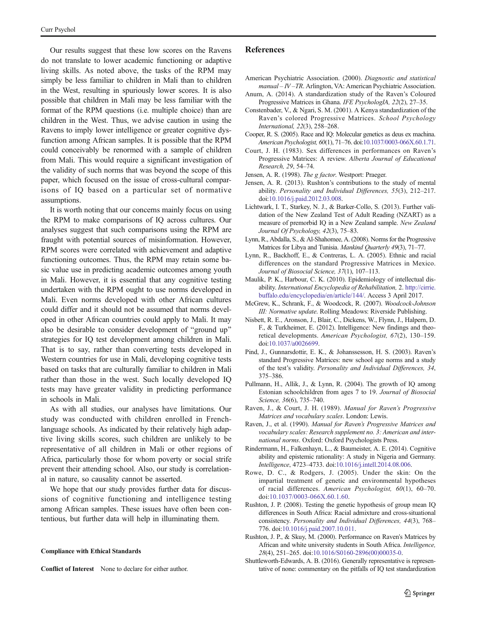<span id="page-4-0"></span>Our results suggest that these low scores on the Ravens do not translate to lower academic functioning or adaptive living skills. As noted above, the tasks of the RPM may simply be less familiar to children in Mali than to children in the West, resulting in spuriously lower scores. It is also possible that children in Mali may be less familiar with the format of the RPM questions (i.e. multiple choice) than are children in the West. Thus, we advise caution in using the Ravens to imply lower intelligence or greater cognitive dysfunction among African samples. It is possible that the RPM could conceivably be renormed with a sample of children from Mali. This would require a significant investigation of the validity of such norms that was beyond the scope of this paper, which focused on the issue of cross-cultural comparisons of IQ based on a particular set of normative assumptions.

It is worth noting that our concerns mainly focus on using the RPM to make comparisons of IQ across cultures. Our analyses suggest that such comparisons using the RPM are fraught with potential sources of misinformation. However, RPM scores were correlated with achievement and adaptive functioning outcomes. Thus, the RPM may retain some basic value use in predicting academic outcomes among youth in Mali. However, it is essential that any cognitive testing undertaken with the RPM ought to use norms developed in Mali. Even norms developed with other African cultures could differ and it should not be assumed that norms developed in other African countries could apply to Mali. It may also be desirable to consider development of "ground up" strategies for IQ test development among children in Mali. That is to say, rather than converting tests developed in Western countries for use in Mali, developing cognitive tests based on tasks that are culturally familiar to children in Mali rather than those in the west. Such locally developed IQ tests may have greater validity in predicting performance in schools in Mali.

As with all studies, our analyses have limitations. Our study was conducted with children enrolled in Frenchlanguage schools. As indicated by their relatively high adaptive living skills scores, such children are unlikely to be representative of all children in Mali or other regions of Africa, particularly those for whom poverty or social strife prevent their attending school. Also, our study is correlational in nature, so causality cannot be asserted.

We hope that our study provides further data for discussions of cognitive functioning and intelligence testing among African samples. These issues have often been contentious, but further data will help in illuminating them.

#### Compliance with Ethical Standards

Conflict of Interest None to declare for either author.

#### References

- American Psychiatric Association. (2000). Diagnostic and statistical manual – IV –TR. Arlington, VA: American Psychiatric Association.
- Anum, A. (2014). A standardization study of the Raven's Coloured Progressive Matrices in Ghana. IFE PsychologIA, 22(2), 27–35.
- Constenbader, V., & Ngari, S. M. (2001). A Kenya standardization of the Raven's colored Progressive Matrices. School Psychology International, 22(3), 258–268.
- Cooper, R. S. (2005). Race and IQ: Molecular genetics as deus ex machina. American Psychologist, 60(1), 71–76. doi:[10.1037/0003-066X.60.1.71](http://dx.doi.org/10.1037/0003-066X.60.1.71).
- Court, J. H. (1983). Sex differences in performances on Raven's Progressive Matrices: A review. Alberta Journal of Educational Research, 29, 54–74.
- Jensen, A. R. (1998). The g factor. Westport: Praeger.
- Jensen, A. R. (2013). Rushton's contributions to the study of mental ability. Personality and Individual Differences, 55(3), 212–217. doi:[10.1016/j.paid.2012.03.008](http://dx.doi.org/10.1016/j.paid.2012.03.008).
- Lichtwark, I. T., Starkey, N. J., & Barker-Collo, S. (2013). Further validation of the New Zealand Test of Adult Reading (NZART) as a measure of premorbid IQ in a New Zealand sample. New Zealand Journal Of Psychology, 42(3), 75–83.
- Lynn, R., Abdalla, S., & Al-Shahomee, A. (2008). Norms for the Progressive Matrices for Libya and Tunisia. Mankind Quarterly 49(3), 71–77.
- Lynn, R., Backhoff, E., & Contreras, L. A. (2005). Ethnic and racial differences on the standard Progressive Matrices in Mexico. Journal of Biosocial Science, 37(1), 107–113.
- Maulik, P. K., Harbour, C. K. (2010). Epidemiology of intellectual disability. International Encyclopedia of Rehabilitation, 2. [http://cirrie.](http://cirrie.buffalo.edu/encyclopedia/en/article/144/) [buffalo.edu/encyclopedia/en/article/144/.](http://cirrie.buffalo.edu/encyclopedia/en/article/144/) Access 3 April 2017.
- McGrew, K., Schrank, F., & Woodcock, R. (2007). Woodcock-Johnson III: Normative update. Rolling Meadows: Riverside Publishing.
- Nisbett, R. E., Aronson, J., Blair, C., Dickens, W., Flynn, J., Halpern, D. F., & Turkheimer, E. (2012). Intelligence: New findings and theoretical developments. American Psychologist, 67(2), 130–159. doi:[10.1037/a0026699](http://dx.doi.org/10.1037/a0026699).
- Pind, J., Gunnarsdottir, E. K., & Johanssesson, H. S. (2003). Raven's standard Progressive Matrices: new school age norms and a study of the test's validity. Personality and Individual Differences, 34, 375–386.
- Pullmann, H., Allik, J., & Lynn, R. (2004). The growth of IQ among Estonian schoolchildren from ages 7 to 19. Journal of Biosocial Science, 36(6), 735–740.
- Raven, J., & Court, J. H. (1989). Manual for Raven's Progressive Matrices and vocabulary scales. London: Lewis.
- Raven, J., et al. (1990). Manual for Raven's Progressive Matrices and vocabulary scales: Research supplement no. 3: American and international norms. Oxford: Oxford Psychologists Press.
- Rindermann, H., Falkenhayn, L., & Baumeister, A. E. (2014). Cognitive ability and epistemic rationality: A study in Nigeria and Germany. Intelligence, 4723–4733. doi:[10.1016/j.intell.2014.08.006.](http://dx.doi.org/10.1016/j.intell.2014.08.006)
- Rowe, D. C., & Rodgers, J. (2005). Under the skin: On the impartial treatment of genetic and environmental hypotheses of racial differences. American Psychologist, 60(1), 60–70. doi:[10.1037/0003-066X.60.1.60.](http://dx.doi.org/10.1037/0003-066X.60.1.60)
- Rushton, J. P. (2008). Testing the genetic hypothesis of group mean IQ differences in South Africa: Racial admixture and cross-situational consistency. Personality and Individual Differences, 44(3), 768– 776. doi[:10.1016/j.paid.2007.10.011.](http://dx.doi.org/10.1016/j.paid.2007.10.011)
- Rushton, J. P., & Skuy, M. (2000). Performance on Raven's Matrices by African and white university students in South Africa. Intelligence, 28(4), 251–265. doi[:10.1016/S0160-2896\(00\)00035-0](http://dx.doi.org/10.1016/S0160-2896(00)00035-0).
- Shuttleworth-Edwards, A. B. (2016). Generally representative is representative of none: commentary on the pitfalls of IQ test standardization